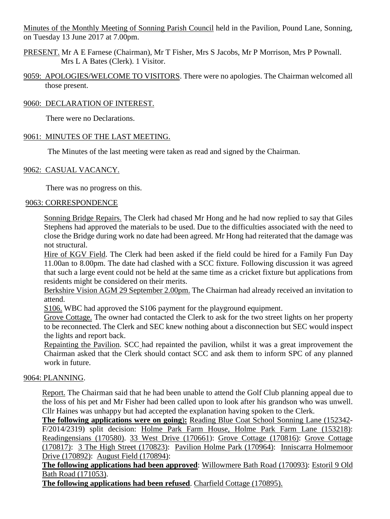Minutes of the Monthly Meeting of Sonning Parish Council held in the Pavilion, Pound Lane, Sonning, on Tuesday 13 June 2017 at 7.00pm.

- PRESENT. Mr A E Farnese (Chairman), Mr T Fisher, Mrs S Jacobs, Mr P Morrison, Mrs P Pownall. Mrs L A Bates (Clerk). 1 Visitor.
- 9059: APOLOGIES/WELCOME TO VISITORS. There were no apologies. The Chairman welcomed all those present.

# 9060: DECLARATION OF INTEREST.

There were no Declarations.

# 9061: MINUTES OF THE LAST MEETING.

The Minutes of the last meeting were taken as read and signed by the Chairman.

## 9062: CASUAL VACANCY.

There was no progress on this.

## 9063: CORRESPONDENCE

Sonning Bridge Repairs. The Clerk had chased Mr Hong and he had now replied to say that Giles Stephens had approved the materials to be used. Due to the difficulties associated with the need to close the Bridge during work no date had been agreed. Mr Hong had reiterated that the damage was not structural.

Hire of KGV Field. The Clerk had been asked if the field could be hired for a Family Fun Day 11.00an to 8.00pm. The date had clashed with a SCC fixture. Following discussion it was agreed that such a large event could not be held at the same time as a cricket fixture but applications from residents might be considered on their merits.

Berkshire Vision AGM 29 September 2.00pm. The Chairman had already received an invitation to attend.

S106. WBC had approved the S106 payment for the playground equipment.

Grove Cottage. The owner had contacted the Clerk to ask for the two street lights on her property to be reconnected. The Clerk and SEC knew nothing about a disconnection but SEC would inspect the lights and report back.

Repainting the Pavilion. SCC had repainted the pavilion, whilst it was a great improvement the Chairman asked that the Clerk should contact SCC and ask them to inform SPC of any planned work in future.

## 9064: PLANNING.

Report. The Chairman said that he had been unable to attend the Golf Club planning appeal due to the loss of his pet and Mr Fisher had been called upon to look after his grandson who was unwell. Cllr Haines was unhappy but had accepted the explanation having spoken to the Clerk.

**The following applications were on going**)**:** Reading Blue Coat School Sonning Lane (152342- F/2014/2319) split decision: Holme Park Farm House, Holme Park Farm Lane (153218): Readingensians (170580). 33 West Drive (170661): Grove Cottage (170816): Grove Cottage (170817): 3 The High Street (170823): Pavilion Holme Park (170964): Inniscarra Holmemoor Drive (170892): August Field (170894):

**The following applications had been approved**: Willowmere Bath Road (170093): Estoril 9 Old Bath Road (171053).

**The following applications had been refused**. Charfield Cottage (170895).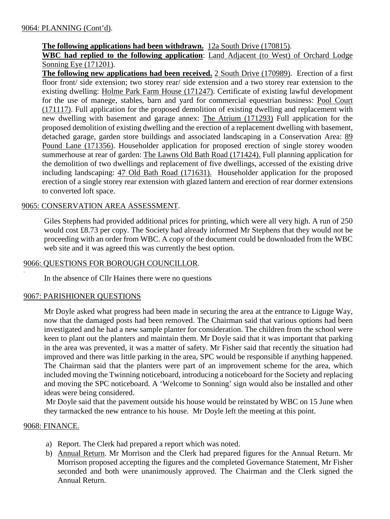# **The following applications had been withdrawn.** 12a South Drive (170815).

**WBC had replied to the following application**: Land Adjacent (to West) of Orchard Lodge Sonning Eye (171201).

**The following new applications had been received.** 2 South Drive (170989). Erection of a first floor front/ side extension; two storey rear/ side extension and a two storey rear extension to the existing dwelling: Holme Park Farm House (171247). Certificate of existing lawful development for the use of manege, stables, barn and yard for commercial equestrian business: Pool Court (171117). Full application for the proposed demolition of existing dwelling and replacement with new dwelling with basement and garage annex: The Atrium (171293) Full application for the proposed demolition of existing dwelling and the erection of a replacement dwelling with basement, detached garage, garden store buildings and associated landscaping in a Conservation Area: 89 Pound Lane (171356). Householder application for proposed erection of single storey wooden summerhouse at rear of garden: The Lawns Old Bath Road (171424). Full planning application for the demolition of two dwellings and replacement of five dwellings, accessed of the existing drive including landscaping: 47 Old Bath Road (171631). Householder application for the proposed erection of a single storey rear extension with glazed lantern and erection of rear dormer extensions to converted loft space.

## 9065: CONSERVATION AREA ASSESSMENT.

Giles Stephens had provided additional prices for printing, which were all very high. A run of 250 would cost £8.73 per copy. The Society had already informed Mr Stephens that they would not be proceeding with an order from WBC. A copy of the document could be downloaded from the WBC web site and it was agreed this was currently the best option.

## 9066: QUESTIONS FOR BOROUGH COUNCILLOR.

In the absence of Cllr Haines there were no questions

## 9067: PARISHIONER QUESTIONS

Mr Doyle asked what progress had been made in securing the area at the entrance to Liguge Way, now that the damaged posts had been removed. The Chairman said that various options had been investigated and he had a new sample planter for consideration. The children from the school were keen to plant out the planters and maintain them. Mr Doyle said that it was important that parking in the area was prevented, it was a matter of safety. Mr Fisher said that recently the situation had improved and there was little parking in the area, SPC would be responsible if anything happened. The Chairman said that the planters were part of an improvement scheme for the area, which included moving the Twinning noticeboard, introducing a noticeboard for the Society and replacing and moving the SPC noticeboard. A 'Welcome to Sonning' sign would also be installed and other ideas were being considered.

Mr Doyle said that the pavement outside his house would be reinstated by WBC on 15 June when they tarmacked the new entrance to his house. Mr Doyle left the meeting at this point.

### 9068: FINANCE.

.

- a) Report. The Clerk had prepared a report which was noted.
- b) Annual Return. Mr Morrison and the Clerk had prepared figures for the Annual Return. Mr Morrison proposed accepting the figures and the completed Governance Statement, Mr Fisher seconded and both were unanimously approved. The Chairman and the Clerk signed the Annual Return.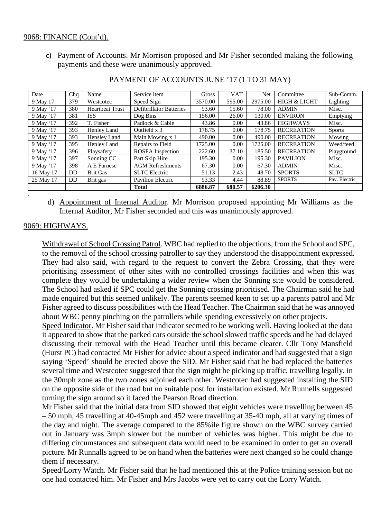### 9068: FINANCE (Cont'd).

c) Payment of Accounts. Mr Morrison proposed and Mr Fisher seconded making the following payments and these were unanimously approved.

| Date      | Cha       | Name                   | Service item                   | Gross   | <b>VAT</b> | Net     | Committee               | Sub-Comm.     |
|-----------|-----------|------------------------|--------------------------------|---------|------------|---------|-------------------------|---------------|
| 9 May 17  | 379       | Westcotec              | Speed Sign                     | 3570.00 | 595.00     | 2975.00 | <b>HIGH &amp; LIGHT</b> | Lighting      |
| 9 May '17 | 380       | <b>Heartbeat Trust</b> | <b>Defibrillator Batteries</b> | 93.60   | 15.60      | 78.00   | <b>ADMIN</b>            | Misc.         |
| 9 May '17 | 381       | <b>ISS</b>             | Dog Bins                       | 156.00  | 26.00      | 130.00  | <b>ENVIRON</b>          | Emptying      |
| 9 May '17 | 392       | T. Fisher              | Padlock & Cable                | 43.86   | 0.00       | 43.86   | <b>HIGHWAYS</b>         | Misc.         |
| 9 May '17 | 393       | Henley Land            | Outfield $x$ 3                 | 178.75  | 0.00       | 178.75  | <b>RECREATION</b>       | <b>Sports</b> |
| 9 May '17 | 393       | Hensley Land           | Main Mowing x 1                | 490.00  | 0.00       | 490.00  | <b>RECREATION</b>       | Mowing        |
| 9 May '17 | 395       | Henley Land            | Repairs to Field               | 1725.00 | 0.00       | 1725.00 | <b>RECREATION</b>       | Weed/feed     |
| 9 May '17 | 396       | Playsafety             | <b>ROSPA</b> Inspection        | 222.60  | 37.10      | 185.50  | <b>RECREATION</b>       | Playground    |
| 9 May '17 | 397       | Sonning CC             | Part Skip Hire                 | 195.30  | 0.00       | 195.30  | <b>PAVILION</b>         | Misc.         |
| 9 May '17 | 398       | A E Farnese            | <b>AGM</b> Refreshments        | 67.30   | 0.00       | 67.30   | <b>ADMIN</b>            | Misc.         |
| 16 May 17 | <b>DD</b> | <b>Brit Gas</b>        | <b>SLTC</b> Electric           | 51.13   | 2.43       | 48.70   | <b>SPORTS</b>           | <b>SLTC</b>   |
| 25 May 17 | <b>DD</b> | Brit gas               | <b>Pavilion Electric</b>       | 93.33   | 4.44       | 88.89   | <b>SPORTS</b>           | Pav. Electric |
|           |           |                        | <b>Total</b>                   | 6886.87 | 680.57     | 6206.30 |                         |               |

### PAYMENT OF ACCOUNTS JUNE '17 (1 TO 31 MAY)

d) Appointment of Internal Auditor. Mr Morrison proposed appointing Mr Williams as the Internal Auditor, Mr Fisher seconded and this was unanimously approved.

## 9069: HIGHWAYS.

.

Withdrawal of School Crossing Patrol. WBC had replied to the objections, from the School and SPC, to the removal of the school crossing patroller to say they understood the disappointment expressed. They had also said, with regard to the request to convert the Zebra Crossing, that they were prioritising assessment of other sites with no controlled crossings facilities and when this was complete they would be undertaking a wider review when the Sonning site would be considered. The School had asked if SPC could get the Sonning crossing prioritised. The Chairman said he had made enquired but this seemed unlikely. The parents seemed keen to set up a parents patrol and Mr Fisher agreed to discuss possibilities with the Head Teacher. The Chairman said that he was annoyed about WBC penny pinching on the patrollers while spending excessively on other projects.

Speed Indicator. Mr Fisher said that Indicator seemed to be working well. Having looked at the data it appeared to show that the parked cars outside the school slowed traffic speeds and he had delayed discussing their removal with the Head Teacher until this became clearer. Cllr Tony Mansfield (Hurst PC) had contacted Mr Fisher for advice about a speed indicator and had suggested that a sign saying 'Speed' should be erected above the SID. Mr Fisher said that he had replaced the batteries several time and Westcotec suggested that the sign might be picking up traffic, travelling legally, in the 30mph zone as the two zones adjoined each other. Westcotec had suggested installing the SID on the opposite side of the road but no suitable post for installation existed. Mr Runnells suggested turning the sign around so it faced the Pearson Road direction.

Mr Fisher said that the initial data from SID showed that eight vehicles were travelling between 45 – 50 mph, 45 travelling at 40-45mph and 452 were travelling at 35-40 mph, all at varying times of the day and night. The average compared to the 85%ile figure shown on the WBC survey carried out in January was 3mph slower but the number of vehicles was higher. This might be due to differing circumstances and subsequent data would need to be examined in order to get an overall picture. Mr Runnalls agreed to be on hand when the batteries were next changed so he could change them if necessary.

Speed/Lorry Watch. Mr Fisher said that he had mentioned this at the Police training session but no one had contacted him. Mr Fisher and Mrs Jacobs were yet to carry out the Lorry Watch.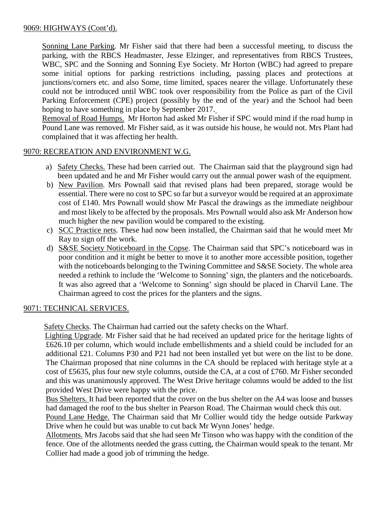# 9069: HIGHWAYS (Cont'd).

Sonning Lane Parking. Mr Fisher said that there had been a successful meeting, to discuss the parking, with the RBCS Headmaster, Jesse Elzinger, and representatives from RBCS Trustees, WBC, SPC and the Sonning and Sonning Eye Society. Mr Horton (WBC) had agreed to prepare some initial options for parking restrictions including, passing places and protections at junctions/corners etc. and also Some, time limited, spaces nearer the village. Unfortunately these could not be introduced until WBC took over responsibility from the Police as part of the Civil Parking Enforcement (CPE) project (possibly by the end of the year) and the School had been hoping to have something in place by September 2017.

Removal of Road Humps. Mr Horton had asked Mr Fisher if SPC would mind if the road hump in Pound Lane was removed. Mr Fisher said, as it was outside his house, he would not. Mrs Plant had complained that it was affecting her health.

## 9070: RECREATION AND ENVIRONMENT W.G.

- a) Safety Checks. These had been carried out. The Chairman said that the playground sign had been updated and he and Mr Fisher would carry out the annual power wash of the equipment.
- b) New Pavilion. Mrs Pownall said that revised plans had been prepared, storage would be essential. There were no cost to SPC so far but a surveyor would be required at an approximate cost of £140. Mrs Pownall would show Mr Pascal the drawings as the immediate neighbour and most likely to be affected by the proposals. Mrs Pownall would also ask Mr Anderson how much higher the new pavilion would be compared to the existing.
- c) SCC Practice nets. These had now been installed, the Chairman said that he would meet Mr Ray to sign off the work.
- d) S&SE Society Noticeboard in the Copse. The Chairman said that SPC's noticeboard was in poor condition and it might be better to move it to another more accessible position, together with the noticeboards belonging to the Twining Committee and S&SE Society. The whole area needed a rethink to include the 'Welcome to Sonning' sign, the planters and the noticeboards. It was also agreed that a 'Welcome to Sonning' sign should be placed in Charvil Lane. The Chairman agreed to cost the prices for the planters and the signs.

## 9071: TECHNICAL SERVICES.

Safety Checks. The Chairman had carried out the safety checks on the Wharf.

 Lighting Upgrade. Mr Fisher said that he had received an updated price for the heritage lights of £626.10 per column, which would include embellishments and a shield could be included for an additional £21. Columns P30 and P21 had not been installed yet but were on the list to be done. The Chairman proposed that nine columns in the CA should be replaced with heritage style at a cost of £5635, plus four new style columns, outside the CA, at a cost of £760. Mr Fisher seconded and this was unanimously approved. The West Drive heritage columns would be added to the list provided West Drive were happy with the price.

Bus Shelters. It had been reported that the cover on the bus shelter on the A4 was loose and busses had damaged the roof to the bus shelter in Pearson Road. The Chairman would check this out.

Pound Lane Hedge. The Chairman said that Mr Collier would tidy the hedge outside Parkway Drive when he could but was unable to cut back Mr Wynn Jones' hedge.

Allotments. Mrs Jacobs said that she had seen Mr Tinson who was happy with the condition of the fence. One of the allotments needed the grass cutting, the Chairman would speak to the tenant. Mr Collier had made a good job of trimming the hedge.